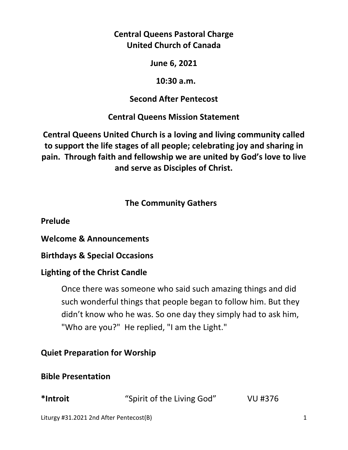**Central Queens Pastoral Charge United Church of Canada** 

**June 6, 2021** 

 **10:30 a.m.** 

## **Second After Pentecost**

**Central Queens Mission Statement** 

**Central Queens United Church is a loving and living community called to support the life stages of all people; celebrating joy and sharing in pain. Through faith and fellowship we are united by God's love to live and serve as Disciples of Christ.**

# **The Community Gathers**

**Prelude** 

**Welcome & Announcements** 

**Birthdays & Special Occasions** 

# **Lighting of the Christ Candle**

Once there was someone who said such amazing things and did such wonderful things that people began to follow him. But they didn't know who he was. So one day they simply had to ask him, "Who are you?" He replied, "I am the Light."

# **Quiet Preparation for Worship**

# **Bible Presentation**

| *Introit | "Spirit of the Living God" | VU #376 |
|----------|----------------------------|---------|
|----------|----------------------------|---------|

Liturgy #31.2021 2nd After Pentecost(B) 1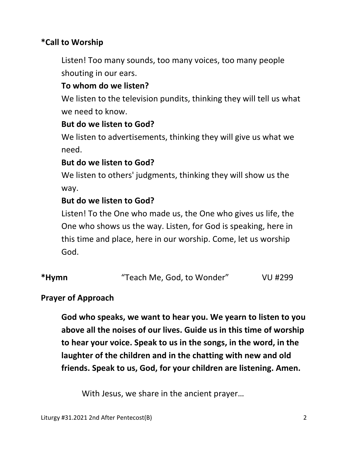## **\*Call to Worship**

Listen! Too many sounds, too many voices, too many people shouting in our ears.

### **To whom do we listen?**

 We listen to the television pundits, thinking they will tell us what we need to know.

### **But do we listen to God?**

 We listen to advertisements, thinking they will give us what we need.

### **But do we listen to God?**

 We listen to others' judgments, thinking they will show us the way.

## **But do we listen to God?**

 Listen! To the One who made us, the One who gives us life, the One who shows us the way. Listen, for God is speaking, here in this time and place, here in our worship. Come, let us worship God.

| *Hymn | "Teach Me, God, to Wonder" | VU #299 |
|-------|----------------------------|---------|
|-------|----------------------------|---------|

### **Prayer of Approach**

 **God who speaks, we want to hear you. We yearn to listen to you above all the noises of our lives. Guide us in this time of worship to hear your voice. Speak to us in the songs, in the word, in the laughter of the children and in the chatting with new and old friends. Speak to us, God, for your children are listening. Amen.** 

With Jesus, we share in the ancient prayer…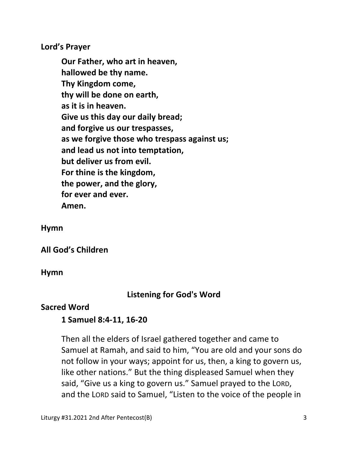**Lord's Prayer** 

**Our Father, who art in heaven, hallowed be thy name. Thy Kingdom come, thy will be done on earth, as it is in heaven. Give us this day our daily bread; and forgive us our trespasses, as we forgive those who trespass against us; and lead us not into temptation, but deliver us from evil. For thine is the kingdom, the power, and the glory, for ever and ever. Amen.** 

**Hymn** 

**All God's Children**

**Hymn** 

### **Listening for God's Word**

#### **Sacred Word**

### **1 Samuel 8:4-11, 16-20**

Then all the elders of Israel gathered together and came to Samuel at Ramah, and said to him, "You are old and your sons do not follow in your ways; appoint for us, then, a king to govern us, like other nations." But the thing displeased Samuel when they said, "Give us a king to govern us." Samuel prayed to the LORD, and the LORD said to Samuel, "Listen to the voice of the people in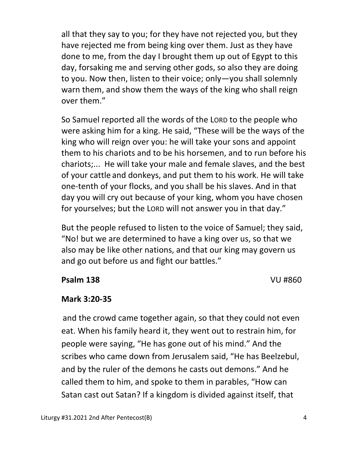all that they say to you; for they have not rejected you, but they have rejected me from being king over them. Just as they have done to me, from the day I brought them up out of Egypt to this day, forsaking me and serving other gods, so also they are doing to you. Now then, listen to their voice; only—you shall solemnly warn them, and show them the ways of the king who shall reign over them."

So Samuel reported all the words of the LORD to the people who were asking him for a king. He said, "These will be the ways of the king who will reign over you: he will take your sons and appoint them to his chariots and to be his horsemen, and to run before his chariots;... He will take your male and female slaves, and the best of your cattle and donkeys, and put them to his work. He will take one-tenth of your flocks, and you shall be his slaves. And in that day you will cry out because of your king, whom you have chosen for yourselves; but the LORD will not answer you in that day."

But the people refused to listen to the voice of Samuel; they said, "No! but we are determined to have a king over us, so that we also may be like other nations, and that our king may govern us and go out before us and fight our battles."

### **Psalm 138** VU #860

## **Mark 3:20-35**

 and the crowd came together again, so that they could not even eat. When his family heard it, they went out to restrain him, for people were saying, "He has gone out of his mind." And the scribes who came down from Jerusalem said, "He has Beelzebul, and by the ruler of the demons he casts out demons." And he called them to him, and spoke to them in parables, "How can Satan cast out Satan? If a kingdom is divided against itself, that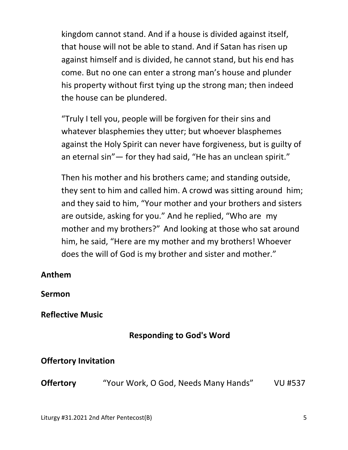kingdom cannot stand. And if a house is divided against itself, that house will not be able to stand. And if Satan has risen up against himself and is divided, he cannot stand, but his end has come. But no one can enter a strong man's house and plunder his property without first tying up the strong man; then indeed the house can be plundered.

"Truly I tell you, people will be forgiven for their sins and whatever blasphemies they utter; but whoever blasphemes against the Holy Spirit can never have forgiveness, but is guilty of an eternal sin"— for they had said, "He has an unclean spirit."

Then his mother and his brothers came; and standing outside, they sent to him and called him. A crowd was sitting around him; and they said to him, "Your mother and your brothers and sisters are outside, asking for you." And he replied, "Who are my mother and my brothers?" And looking at those who sat around him, he said, "Here are my mother and my brothers! Whoever does the will of God is my brother and sister and mother."

#### **Anthem**

**Sermon** 

### **Reflective Music**

## **Responding to God's Word**

### **Offertory Invitation**

**Offertory** "Your Work, O God, Needs Many Hands" VU #537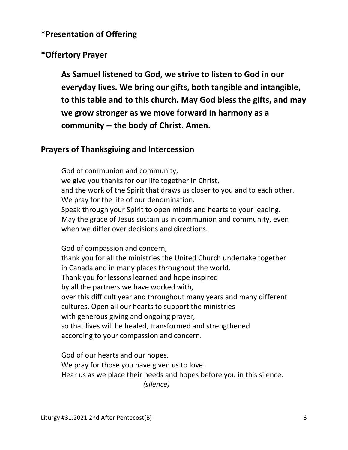#### **\*Presentation of Offering**

### **\*Offertory Prayer**

**As Samuel listened to God, we strive to listen to God in our everyday lives. We bring our gifts, both tangible and intangible, to this table and to this church. May God bless the gifts, and may we grow stronger as we move forward in harmony as a community -- the body of Christ. Amen.** 

#### **Prayers of Thanksgiving and Intercession**

God of communion and community, we give you thanks for our life together in Christ, and the work of the Spirit that draws us closer to you and to each other. We pray for the life of our denomination. Speak through your Spirit to open minds and hearts to your leading. May the grace of Jesus sustain us in communion and community, even when we differ over decisions and directions.

 God of compassion and concern, thank you for all the ministries the United Church undertake together in Canada and in many places throughout the world. Thank you for lessons learned and hope inspired by all the partners we have worked with, over this difficult year and throughout many years and many different cultures. Open all our hearts to support the ministries with generous giving and ongoing prayer, so that lives will be healed, transformed and strengthened according to your compassion and concern.

 God of our hearts and our hopes, We pray for those you have given us to love. Hear us as we place their needs and hopes before you in this silence.  *(silence)*